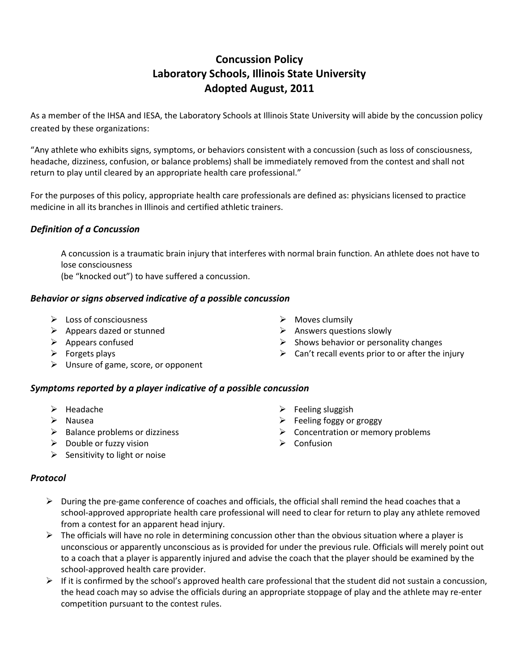# **Concussion Policy Laboratory Schools, Illinois State University Adopted August, 2011**

As a member of the IHSA and IESA, the Laboratory Schools at Illinois State University will abide by the concussion policy created by these organizations:

"Any athlete who exhibits signs, symptoms, or behaviors consistent with a concussion (such as loss of consciousness, headache, dizziness, confusion, or balance problems) shall be immediately removed from the contest and shall not return to play until cleared by an appropriate health care professional."

For the purposes of this policy, appropriate health care professionals are defined as: physicians licensed to practice medicine in all its branches in Illinois and certified athletic trainers.

# *Definition of a Concussion*

A concussion is a traumatic brain injury that interferes with normal brain function. An athlete does not have to lose consciousness

(be "knocked out") to have suffered a concussion.

### *Behavior or signs observed indicative of a possible concussion*

- $\triangleright$  Loss of consciousness
- $\triangleright$  Appears dazed or stunned
- $\triangleright$  Appears confused
- $\triangleright$  Forgets plays
- $\triangleright$  Unsure of game, score, or opponent

# *Symptoms reported by a player indicative of a possible concussion*

- $\blacktriangleright$  Headache
- $\triangleright$  Nausea
- $\triangleright$  Balance problems or dizziness
- $\triangleright$  Double or fuzzy vision
- $\triangleright$  Sensitivity to light or noise

### *Protocol*

- $\triangleright$  During the pre-game conference of coaches and officials, the official shall remind the head coaches that a school-approved appropriate health care professional will need to clear for return to play any athlete removed from a contest for an apparent head injury.
- $\triangleright$  The officials will have no role in determining concussion other than the obvious situation where a player is unconscious or apparently unconscious as is provided for under the previous rule. Officials will merely point out to a coach that a player is apparently injured and advise the coach that the player should be examined by the school-approved health care provider.
- $\triangleright$  If it is confirmed by the school's approved health care professional that the student did not sustain a concussion, the head coach may so advise the officials during an appropriate stoppage of play and the athlete may re-enter competition pursuant to the contest rules.
- $\triangleright$  Moves clumsily  $\triangleright$  Answers questions slowly
- $\triangleright$  Shows behavior or personality changes
- $\triangleright$  Can't recall events prior to or after the injury
- $\triangleright$  Feeling sluggish
- $\triangleright$  Feeling foggy or groggy
- $\triangleright$  Concentration or memory problems
- $\triangleright$  Confusion